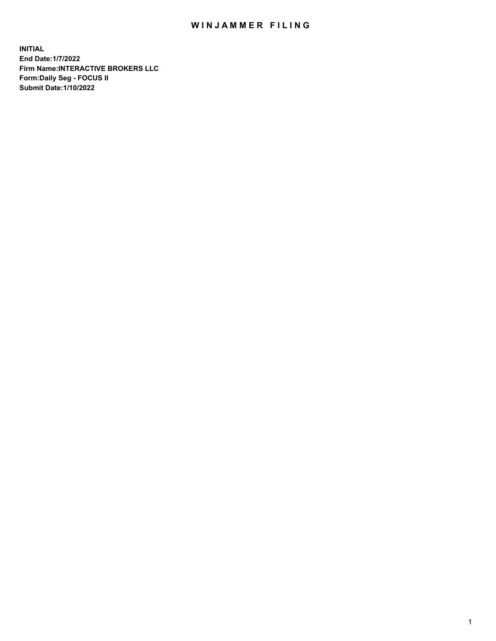## WIN JAMMER FILING

**INITIAL End Date:1/7/2022 Firm Name:INTERACTIVE BROKERS LLC Form:Daily Seg - FOCUS II Submit Date:1/10/2022**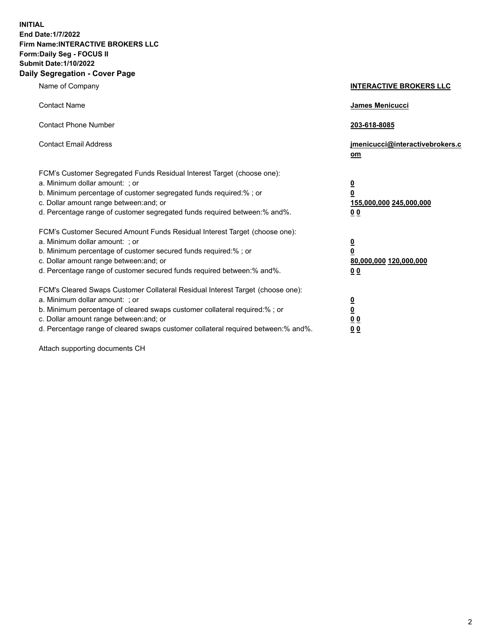**INITIAL End Date:1/7/2022 Firm Name:INTERACTIVE BROKERS LLC Form:Daily Seg - FOCUS II Submit Date:1/10/2022 Daily Segregation - Cover Page**

| Name of Company                                                                                                                                                                                                                                                                                                                | <b>INTERACTIVE BROKERS LLC</b>                                                                 |
|--------------------------------------------------------------------------------------------------------------------------------------------------------------------------------------------------------------------------------------------------------------------------------------------------------------------------------|------------------------------------------------------------------------------------------------|
| <b>Contact Name</b>                                                                                                                                                                                                                                                                                                            | <b>James Menicucci</b>                                                                         |
| <b>Contact Phone Number</b>                                                                                                                                                                                                                                                                                                    | 203-618-8085                                                                                   |
| <b>Contact Email Address</b>                                                                                                                                                                                                                                                                                                   | jmenicucci@interactivebrokers.c<br>om                                                          |
| FCM's Customer Segregated Funds Residual Interest Target (choose one):<br>a. Minimum dollar amount: ; or<br>b. Minimum percentage of customer segregated funds required:% ; or<br>c. Dollar amount range between: and; or<br>d. Percentage range of customer segregated funds required between:% and%.                         | $\overline{\mathbf{0}}$<br>$\overline{\mathbf{0}}$<br>155,000,000 245,000,000<br>00            |
| FCM's Customer Secured Amount Funds Residual Interest Target (choose one):<br>a. Minimum dollar amount: ; or<br>b. Minimum percentage of customer secured funds required:% ; or<br>c. Dollar amount range between: and; or<br>d. Percentage range of customer secured funds required between:% and%.                           | $\overline{\mathbf{0}}$<br>$\overline{\mathbf{0}}$<br>80,000,000 120,000,000<br>0 <sub>0</sub> |
| FCM's Cleared Swaps Customer Collateral Residual Interest Target (choose one):<br>a. Minimum dollar amount: ; or<br>b. Minimum percentage of cleared swaps customer collateral required:% ; or<br>c. Dollar amount range between: and; or<br>d. Percentage range of cleared swaps customer collateral required between:% and%. | $\overline{\mathbf{0}}$<br><u>0</u><br>0 <sub>0</sub><br>0 <sub>0</sub>                        |

Attach supporting documents CH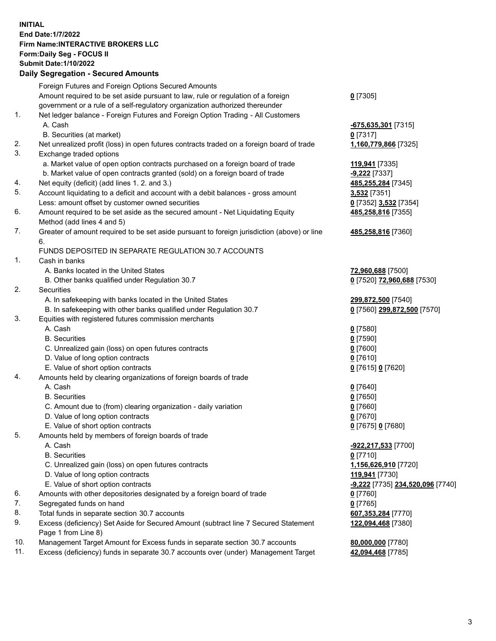**INITIAL End Date:1/7/2022 Firm Name:INTERACTIVE BROKERS LLC Form:Daily Seg - FOCUS II Submit Date:1/10/2022 Daily Segregation - Secured Amounts**

|     | Dany Jegregation - Jecureu Aniounts                                                         |                                  |
|-----|---------------------------------------------------------------------------------------------|----------------------------------|
|     | Foreign Futures and Foreign Options Secured Amounts                                         |                                  |
|     | Amount required to be set aside pursuant to law, rule or regulation of a foreign            | $0$ [7305]                       |
|     | government or a rule of a self-regulatory organization authorized thereunder                |                                  |
| 1.  | Net ledger balance - Foreign Futures and Foreign Option Trading - All Customers             |                                  |
|     | A. Cash                                                                                     | $-675,635,301$ [7315]            |
|     | B. Securities (at market)                                                                   | $0$ [7317]                       |
| 2.  | Net unrealized profit (loss) in open futures contracts traded on a foreign board of trade   | 1,160,779,866 [7325]             |
| 3.  | Exchange traded options                                                                     |                                  |
|     | a. Market value of open option contracts purchased on a foreign board of trade              | 119,941 [7335]                   |
|     | b. Market value of open contracts granted (sold) on a foreign board of trade                | $-9,222$ [7337]                  |
| 4.  | Net equity (deficit) (add lines 1. 2. and 3.)                                               | 485,255,284 [7345]               |
| 5.  | Account liquidating to a deficit and account with a debit balances - gross amount           | 3,532 [7351]                     |
|     | Less: amount offset by customer owned securities                                            | 0 [7352] 3,532 [7354]            |
| 6.  | Amount required to be set aside as the secured amount - Net Liquidating Equity              | 485,258,816 [7355]               |
|     | Method (add lines 4 and 5)                                                                  |                                  |
| 7.  | Greater of amount required to be set aside pursuant to foreign jurisdiction (above) or line | 485,258,816 [7360]               |
|     | 6.                                                                                          |                                  |
|     | FUNDS DEPOSITED IN SEPARATE REGULATION 30.7 ACCOUNTS                                        |                                  |
| 1.  | Cash in banks                                                                               |                                  |
|     | A. Banks located in the United States                                                       | 72,960,688 [7500]                |
|     | B. Other banks qualified under Regulation 30.7                                              | 0 [7520] 72,960,688 [7530]       |
| 2.  | Securities                                                                                  |                                  |
|     | A. In safekeeping with banks located in the United States                                   | 299,872,500 [7540]               |
|     | B. In safekeeping with other banks qualified under Regulation 30.7                          | 0 [7560] 299,872,500 [7570]      |
| 3.  | Equities with registered futures commission merchants                                       |                                  |
|     | A. Cash                                                                                     | $0$ [7580]                       |
|     | <b>B.</b> Securities                                                                        | $0$ [7590]                       |
|     | C. Unrealized gain (loss) on open futures contracts                                         | $0$ [7600]                       |
|     | D. Value of long option contracts                                                           | $0$ [7610]                       |
|     | E. Value of short option contracts                                                          | 0 [7615] 0 [7620]                |
| 4.  | Amounts held by clearing organizations of foreign boards of trade                           |                                  |
|     | A. Cash                                                                                     | $0$ [7640]                       |
|     | <b>B.</b> Securities                                                                        | $0$ [7650]                       |
|     | C. Amount due to (from) clearing organization - daily variation                             | $0$ [7660]                       |
|     | D. Value of long option contracts                                                           | $0$ [7670]                       |
|     | E. Value of short option contracts                                                          | 0 [7675] 0 [7680]                |
| 5.  | Amounts held by members of foreign boards of trade                                          |                                  |
|     | A. Cash                                                                                     | -922,217,533 [7700]              |
|     | <b>B.</b> Securities                                                                        | $0$ [7710]                       |
|     | C. Unrealized gain (loss) on open futures contracts                                         | 1,156,626,910 [7720]             |
|     | D. Value of long option contracts                                                           | 119,941 [7730]                   |
|     | E. Value of short option contracts                                                          | -9,222 [7735] 234,520,096 [7740] |
| 6.  | Amounts with other depositories designated by a foreign board of trade                      | 0 [7760]                         |
| 7.  | Segregated funds on hand                                                                    | $0$ [7765]                       |
| 8.  | Total funds in separate section 30.7 accounts                                               | 607,353,284 [7770]               |
| 9.  | Excess (deficiency) Set Aside for Secured Amount (subtract line 7 Secured Statement         | 122,094,468 [7380]               |
|     | Page 1 from Line 8)                                                                         |                                  |
| 10. | Management Target Amount for Excess funds in separate section 30.7 accounts                 | 80,000,000 [7780]                |
| 11. | Excess (deficiency) funds in separate 30.7 accounts over (under) Management Target          | 42,094,468 [7785]                |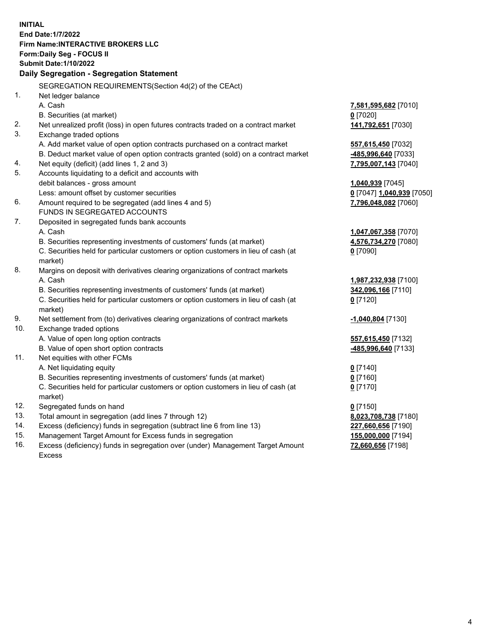**INITIAL End Date:1/7/2022 Firm Name:INTERACTIVE BROKERS LLC Form:Daily Seg - FOCUS II Submit Date:1/10/2022 Daily Segregation - Segregation Statement** SEGREGATION REQUIREMENTS(Section 4d(2) of the CEAct) 1. Net ledger balance A. Cash **7,581,595,682** [7010] B. Securities (at market) **0** [7020] 2. Net unrealized profit (loss) in open futures contracts traded on a contract market **141,792,651** [7030] 3. Exchange traded options A. Add market value of open option contracts purchased on a contract market **557,615,450** [7032] B. Deduct market value of open option contracts granted (sold) on a contract market **-485,996,640** [7033] 4. Net equity (deficit) (add lines 1, 2 and 3) **7,795,007,143** [7040] 5. Accounts liquidating to a deficit and accounts with debit balances - gross amount **1,040,939** [7045] Less: amount offset by customer securities **0** [7047] **1,040,939** [7050] 6. Amount required to be segregated (add lines 4 and 5) **7,796,048,082** [7060] FUNDS IN SEGREGATED ACCOUNTS 7. Deposited in segregated funds bank accounts A. Cash **1,047,067,358** [7070] B. Securities representing investments of customers' funds (at market) **4,576,734,270** [7080] C. Securities held for particular customers or option customers in lieu of cash (at market) **0** [7090] 8. Margins on deposit with derivatives clearing organizations of contract markets A. Cash **1,987,232,938** [7100] B. Securities representing investments of customers' funds (at market) **342,096,166** [7110] C. Securities held for particular customers or option customers in lieu of cash (at market) **0** [7120] 9. Net settlement from (to) derivatives clearing organizations of contract markets **-1,040,804** [7130] 10. Exchange traded options A. Value of open long option contracts **557,615,450** [7132] B. Value of open short option contracts **-485,996,640** [7133] 11. Net equities with other FCMs A. Net liquidating equity **0** [7140] B. Securities representing investments of customers' funds (at market) **0** [7160] C. Securities held for particular customers or option customers in lieu of cash (at market) **0** [7170] 12. Segregated funds on hand **0** [7150] 13. Total amount in segregation (add lines 7 through 12) **8,023,708,738** [7180] 14. Excess (deficiency) funds in segregation (subtract line 6 from line 13) **227,660,656** [7190] 15. Management Target Amount for Excess funds in segregation **155,000,000** [7194] **72,660,656** [7198]

16. Excess (deficiency) funds in segregation over (under) Management Target Amount Excess